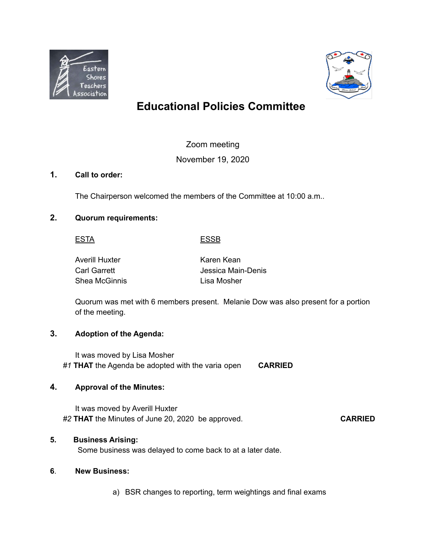



# **Educational Policies Committee**

## Zoom meeting

## November 19, 2020

### **1. Call to order:**

The Chairperson welcomed the members of the Committee at 10:00 a.m..

## **2. Quorum requirements:**

#### ESTA ESSB

| Averill Huxter | Karen Kean         |
|----------------|--------------------|
| Carl Garrett   | Jessica Main-Denis |
| Shea McGinnis  | Lisa Mosher        |

Quorum was met with 6 members present. Melanie Dow was also present for a portion of the meeting.

### **3. Adoption of the Agenda:**

It was moved by Lisa Mosher *#1* **THAT** the Agenda be adopted with the varia open **CARRIED**

### **4. Approval of the Minutes:**

It was moved by Averill Huxter *#2* **THAT** the Minutes of June 20, 2020 be approved. **CARRIED**

### **5. Business Arising:**

Some business was delayed to come back to at a later date.

### **6**. **New Business:**

a) BSR changes to reporting, term weightings and final exams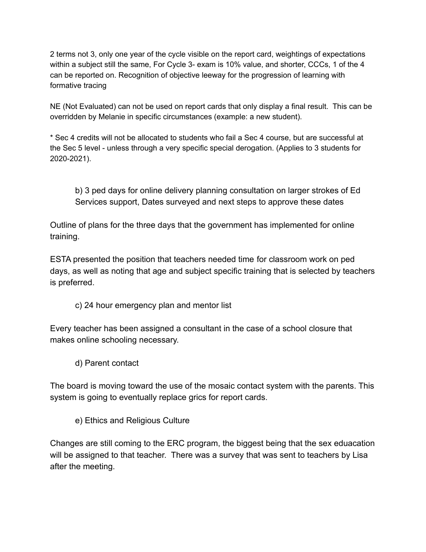2 terms not 3, only one year of the cycle visible on the report card, weightings of expectations within a subject still the same, For Cycle 3- exam is 10% value, and shorter, CCCs, 1 of the 4 can be reported on. Recognition of objective leeway for the progression of learning with formative tracing

NE (Not Evaluated) can not be used on report cards that only display a final result. This can be overridden by Melanie in specific circumstances (example: a new student).

\* Sec 4 credits will not be allocated to students who fail a Sec 4 course, but are successful at the Sec 5 level - unless through a very specific special derogation. (Applies to 3 students for 2020-2021).

b) 3 ped days for online delivery planning consultation on larger strokes of Ed Services support, Dates surveyed and next steps to approve these dates

Outline of plans for the three days that the government has implemented for online training.

ESTA presented the position that teachers needed time for classroom work on ped days, as well as noting that age and subject specific training that is selected by teachers is preferred.

c) 24 hour emergency plan and mentor list

Every teacher has been assigned a consultant in the case of a school closure that makes online schooling necessary.

d) Parent contact

The board is moving toward the use of the mosaic contact system with the parents. This system is going to eventually replace grics for report cards.

e) Ethics and Religious Culture

Changes are still coming to the ERC program, the biggest being that the sex eduacation will be assigned to that teacher. There was a survey that was sent to teachers by Lisa after the meeting.